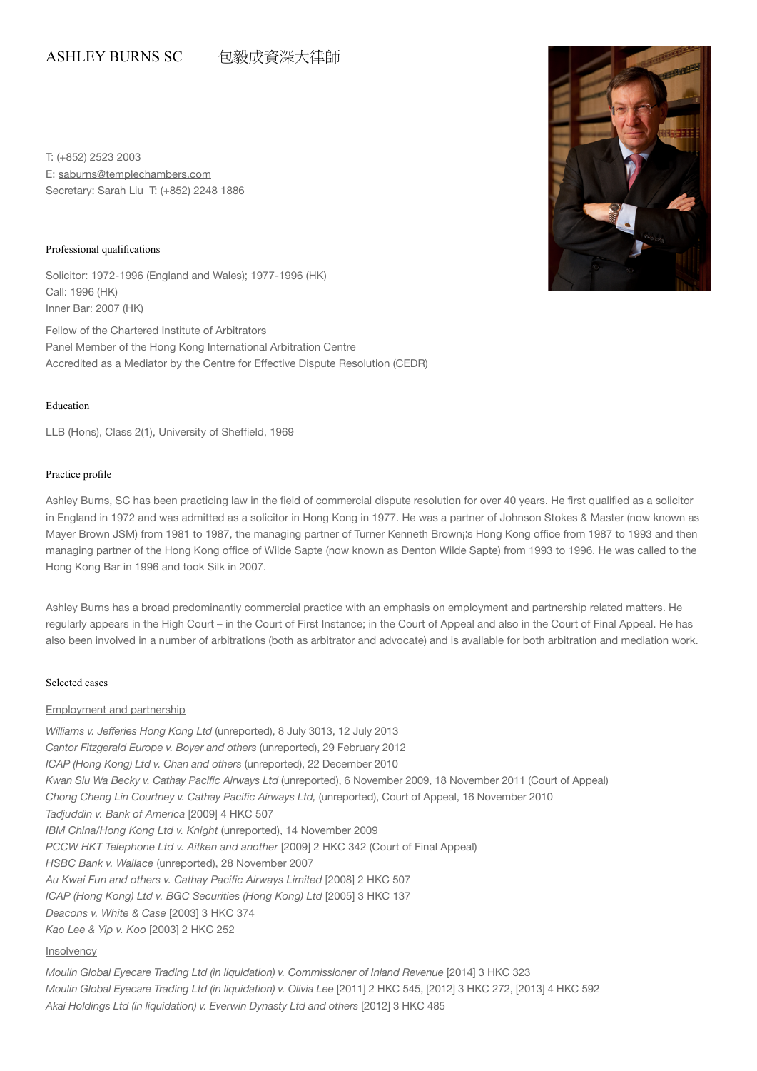# ASHLEY BURNS SC 包毅成資深大律師

T: (+852) 2523 2003 E: saburns@templechambers.com Secretary: Sarah Liu T: (+852) 2248 1886

#### Professional qualifications

Solicitor: 1972-1996 (England and Wales); 1977-1996 (HK) Call: 1996 (HK) Inner Bar: 2007 (HK)

Fellow of the Chartered Institute of Arbitrators Panel Member of the Hong Kong International Arbitration Centre Accredited as a Mediator by the Centre for Effective Dispute Resolution (CEDR)

#### Education

LLB (Hons), Class 2(1), University of Sheffield, 1969

## Practice profile

Ashley Burns, SC has been practicing law in the field of commercial dispute resolution for over 40 years. He first qualified as a solicitor in England in 1972 and was admitted as a solicitor in Hong Kong in 1977. He was a partner of Johnson Stokes & Master (now known as Mayer Brown JSM) from 1981 to 1987, the managing partner of Turner Kenneth Brown¡¦s Hong Kong office from 1987 to 1993 and then managing partner of the Hong Kong office of Wilde Sapte (now known as Denton Wilde Sapte) from 1993 to 1996. He was called to the Hong Kong Bar in 1996 and took Silk in 2007.

Ashley Burns has a broad predominantly commercial practice with an emphasis on employment and partnership related matters. He regularly appears in the High Court – in the Court of First Instance; in the Court of Appeal and also in the Court of Final Appeal. He has also been involved in a number of arbitrations (both as arbitrator and advocate) and is available for both arbitration and mediation work.

## Selected cases

## Employment and partnership

*Williams v. Jefferies Hong Kong Ltd* (unreported), 8 July 3013, 12 July 2013 *Cantor Fitzgerald Europe v. Boyer and others* (unreported), 29 February 2012 *ICAP (Hong Kong) Ltd v. Chan and others* (unreported), 22 December 2010 *Kwan Siu Wa Becky v. Cathay Pacific Airways Ltd* (unreported), 6 November 2009, 18 November 2011 (Court of Appeal) *Chong Cheng Lin Courtney v. Cathay Pacific Airways Ltd,* (unreported), Court of Appeal, 16 November 2010 *Tadjuddin v. Bank of America* [2009] 4 HKC 507 *IBM China/Hong Kong Ltd v. Knight* (unreported), 14 November 2009 *PCCW HKT Telephone Ltd v. Aitken and another* [2009] 2 HKC 342 (Court of Final Appeal) *HSBC Bank v. Wallace* (unreported), 28 November 2007 *Au Kwai Fun and others v. Cathay Pacific Airways Limited* [2008] 2 HKC 507 *ICAP (Hong Kong) Ltd v. BGC Securities (Hong Kong) Ltd [2005] 3 HKC 137 Deacons v. White & Case* [2003] 3 HKC 374 *Kao Lee & Yip v. Koo* [2003] 2 HKC 252 Insolvency

*Moulin Global Eyecare Trading Ltd (in liquidation) v. Commissioner of Inland Revenue [2014] 3 HKC 323 Moulin Global Eyecare Trading Ltd (in liquidation) v. Olivia Lee* [2011] 2 HKC 545, [2012] 3 HKC 272, [2013] 4 HKC 592 Akai Holdings Ltd (in liquidation) v. Everwin Dynasty Ltd and others [2012] 3 HKC 485